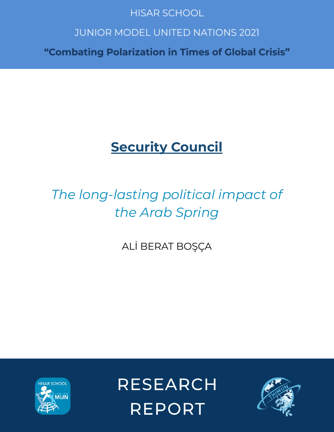# **HISAR SCHOOL**

# **JUNIOR MODEL UNITED NATIONS 2021**

"Combating Polarization in Times of Global Crisis"

# **Security Council**

# *The long-lasting political impact of the Arab Spring*

ALİ BERAT BOŞÇA



**RESEARCH REPORT** 

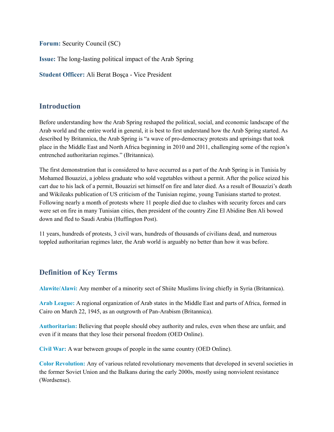**Forum:** Security Council (SC)

**Issue:** The long-lasting political impact of the Arab Spring

**Student Officer:** Ali Berat Boşça - Vice President

### **Introduction**

Before understanding how the Arab Spring reshaped the political, social, and economic landscape of the Arab world and the entire world in general, it is best to first understand how the Arab Spring started. As described by Britannica, the Arab Spring is "a wave of pro-democracy protests and uprisings that took place in the Middle East and North Africa beginning in 2010 and 2011, challenging some of the region's entrenched authoritarian regimes." (Britannica).

The first demonstration that is considered to have occurred as a part of the Arab Spring is in Tunisia by Mohamed Bouazizi, a jobless graduate who sold vegetables without a permit. After the police seized his cart due to his lack of a permit, Bouazizi set himself on fire and later died. As a result of Bouazizi's death and Wikileaks publication of US criticism of the Tunisian regime, young Tunisians started to protest. Following nearly a month of protests where 11 people died due to clashes with security forces and cars were set on fire in many Tunisian cities, then president of the country Zine El Abidine Ben Ali bowed down and fled to Saudi Arabia (Huffington Post).

11 years, hundreds of protests, 3 civil wars, hundreds of thousands of civilians dead, and numerous toppled authoritarian regimes later, the Arab world is arguably no better than how it was before.

## **Definition of Key Terms**

**Alawite/Alawi:** Any member of a minority sect of Shiite Muslims living chiefly in Syria (Britannica).

**Arab League:** A regional organization of Arab states in the Middle East and parts of Africa, formed in Cairo on March 22, 1945, as an outgrowth of Pan-Arabism (Britannica).

**Authoritarian:** Believing that people should obey authority and rules, even when these are unfair, and even if it means that they lose their personal freedom (OED Online).

**Civil War:** A war between groups of people in the same country (OED Online).

**Color Revolution:** Any of various related revolutionary movements that developed in several societies in the former Soviet Union and the Balkans during the early 2000s, mostly using nonviolent resistance (Wordsense).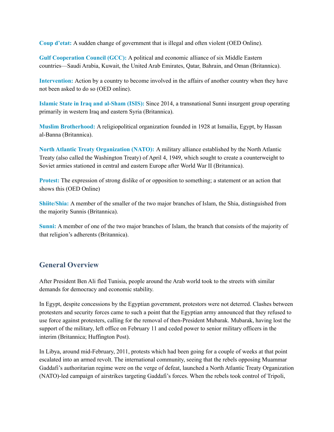**Coup d'etat:** A sudden change of government that is illegal and often violent (OED Online).

**Gulf Cooperation Council (GCC):** A political and economic alliance of six Middle Eastern countries—Saudi Arabia, Kuwait, the United Arab Emirates, Qatar, Bahrain, and Oman (Britannica).

**Intervention:** Action by a country to become involved in the affairs of another country when they have not been asked to do so (OED online).

**Islamic State in Iraq and al-Sham (ISIS):** Since 2014, a transnational Sunni insurgent group operating primarily in western Iraq and eastern Syria (Britannica).

**Muslim Brotherhood:** A religiopolitical organization founded in 1928 at Ismailia, Egypt, by Hassan al-Banna (Britannica).

**North Atlantic Treaty Organization (NATO):** A military alliance established by the North Atlantic Treaty (also called the Washington Treaty) of April 4, 1949, which sought to create a counterweight to Soviet armies stationed in central and eastern Europe after World War II (Britannica).

**Protest:** The expression of strong dislike of or opposition to something; a statement or an action that shows this (OED Online)

**Shiite/Shia:** A member of the smaller of the two major branches of Islam, the Shia, distinguished from the majority Sunnis (Britannica).

**Sunni:** A member of one of the two major branches of Islam, the branch that consists of the majority of that religion's adherents (Britannica).

## **General Overview**

After President Ben Ali fled Tunisia, people around the Arab world took to the streets with similar demands for democracy and economic stability.

In Egypt, despite concessions by the Egyptian government, protestors were not deterred. Clashes between protesters and security forces came to such a point that the Egyptian army announced that they refused to use force against protesters, calling for the removal of then-President Mubarak. Mubarak, having lost the support of the military, left office on February 11 and ceded power to senior military officers in the interim (Britannica; Huffington Post).

In Libya, around mid-February, 2011, protests which had been going for a couple of weeks at that point escalated into an armed revolt. The international community, seeing that the rebels opposing Muammar Gaddafi's authoritarian regime were on the verge of defeat, launched a North Atlantic Treaty Organization (NATO)-led campaign of airstrikes targeting Gaddafi's forces. When the rebels took control of Tripoli,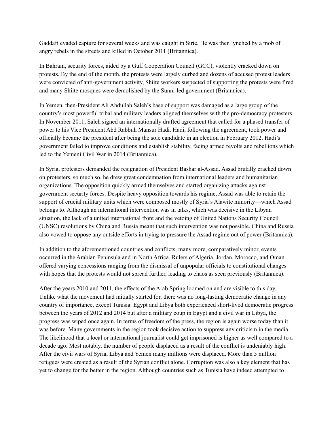Gaddafi evaded capture for several weeks and was caught in Sirte. He was then lynched by a mob of angry rebels in the streets and killed in October 2011 (Britannica).

In Bahrain, security forces, aided by a Gulf Cooperation Council (GCC), violently cracked down on protests. By the end of the month, the protests were largely curbed and dozens of accused protest leaders were convicted of anti-government activity, Shiite workers suspected of supporting the protests were fired and many Shiite mosques were demolished by the Sunni-led government (Britannica).

In Yemen, then-President Ali Abdullah Saleh's base of support was damaged as a large group of the country's most powerful tribal and military leaders aligned themselves with the pro-democracy protesters. In November 2011, Saleh signed an internationally drafted agreement that called for a phased transfer of power to his Vice President Abd Rabbuh Mansur Hadi. Hadi, following the agreement, took power and officially became the president after being the sole candidate in an election in February 2012. Hadi's government failed to improve conditions and establish stability, facing armed revolts and rebellions which led to the Yemeni Civil War in 2014 (Britannica).

In Syria, protesters demanded the resignation of President Bashar al-Assad. Assad brutally cracked down on protesters, so much so, he drew great condemnation from international leaders and humanitarian organizations. The opposition quickly armed themselves and started organizing attacks against government security forces. Despite heavy opposition towards his regime, Assad was able to retain the support of crucial military units which were composed mostly of Syria's Alawite minority—which Assad belongs to. Although an international intervention was in talks, which was decisive in the Libyan situation, the lack of a united international front and the vetoing of United Nations Security Council (UNSC) resolutions by China and Russia meant that such intervention was not possible. China and Russia also vowed to oppose any outside efforts in trying to pressure the Assad regime out of power (Britannica).

In addition to the aforementioned countries and conflicts, many more, comparatively minor, events occurred in the Arabian Peninsula and in North Africa. Rulers of Algeria, Jordan, Morocco, and Oman offered varying concessions ranging from the dismissal of unpopular officials to constitutional changes with hopes that the protests would not spread further, leading to chaos as seen previously (Britannica).

After the years 2010 and 2011, the effects of the Arab Spring loomed on and are visible to this day. Unlike what the movement had initially started for, there was no long-lasting democratic change in any country of importance, except Tunisia. Egypt and Libya both experienced short-lived democratic progress between the years of 2012 and 2014 but after a military coup in Egypt and a civil war in Libya, the progress was wiped once again. In terms of freedom of the press, the region is again worse today than it was before. Many governments in the region took decisive action to suppress any criticism in the media. The likelihood that a local or international journalist could get imprisoned is higher as well compared to a decade ago. Most notably, the number of people displaced as a result of the conflict is undeniably high. After the civil wars of Syria, Libya and Yemen many millions were displaced. More than 5 million refugees were created as a result of the Syrian conflict alone. Corruption was also a key element that has yet to change for the better in the region. Although countries such as Tunisia have indeed attempted to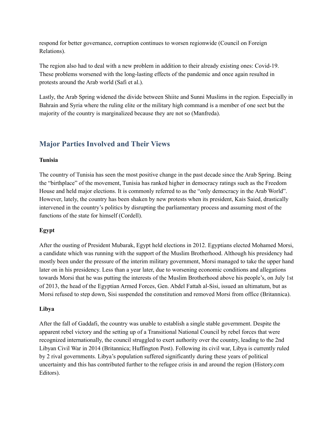respond for better governance, corruption continues to worsen regionwide (Council on Foreign Relations).

The region also had to deal with a new problem in addition to their already existing ones: Covid-19. These problems worsened with the long-lasting effects of the pandemic and once again resulted in protests around the Arab world (Safi et al.).

Lastly, the Arab Spring widened the divide between Shiite and Sunni Muslims in the region. Especially in Bahrain and Syria where the ruling elite or the military high command is a member of one sect but the majority of the country is marginalized because they are not so (Manfreda).

## **Major Parties Involved and Their Views**

#### **Tunisia**

The country of Tunisia has seen the most positive change in the past decade since the Arab Spring. Being the "birthplace" of the movement, Tunisia has ranked higher in democracy ratings such as the Freedom House and held major elections. It is commonly referred to as the "only democracy in the Arab World". However, lately, the country has been shaken by new protests when its president, Kais Saied, drastically intervened in the country's politics by disrupting the parliamentary process and assuming most of the functions of the state for himself (Cordell).

#### **Egypt**

After the ousting of President Mubarak, Egypt held elections in 2012. Egyptians elected Mohamed Morsi, a candidate which was running with the support of the Muslim Brotherhood. Although his presidency had mostly been under the pressure of the interim military government, Morsi managed to take the upper hand later on in his presidency. Less than a year later, due to worsening economic conditions and allegations towards Morsi that he was putting the interests of the Muslim Brotherhood above his people's, on July 1st of 2013, the head of the Egyptian Armed Forces, Gen. Abdel Fattah al-Sisi, issued an ultimatum, but as Morsi refused to step down, Sisi suspended the constitution and removed Morsi from office (Britannica).

#### **Libya**

After the fall of Gaddafi, the country was unable to establish a single stable government. Despite the apparent rebel victory and the setting up of a Transitional National Council by rebel forces that were recognized internationally, the council struggled to exert authority over the country, leading to the 2nd Libyan Civil War in 2014 (Britannica; Huffington Post). Following its civil war, Libya is currently ruled by 2 rival governments. Libya's population suffered significantly during these years of political uncertainty and this has contributed further to the refugee crisis in and around the region (History.com Editors).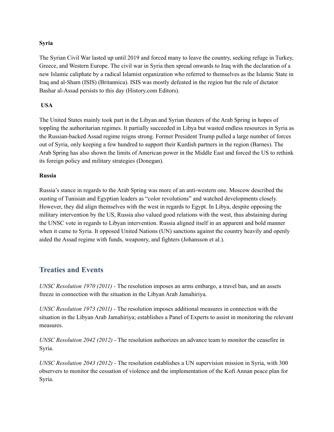#### **Syria**

The Syrian Civil War lasted up until 2019 and forced many to leave the country, seeking refuge in Turkey, Greece, and Western Europe. The civil war in Syria then spread onwards to Iraq with the declaration of a new Islamic caliphate by a radical Islamist organization who referred to themselves as the Islamic State in Iraq and al-Sham (ISIS) (Britannica). ISIS was mostly defeated in the region but the rule of dictator Bashar al-Assad persists to this day (History.com Editors).

#### **USA**

The United States mainly took part in the Libyan and Syrian theaters of the Arab Spring in hopes of toppling the authoritarian regimes. It partially succeeded in Libya but wasted endless resources in Syria as the Russian-backed Assad regime reigns strong. Former President Trump pulled a large number of forces out of Syria, only keeping a few hundred to support their Kurdish partners in the region (Barnes). The Arab Spring has also shown the limits of American power in the Middle East and forced the US to rethink its foreign policy and military strategies (Donegan).

#### **Russia**

Russia's stance in regards to the Arab Spring was more of an anti-western one. Moscow described the ousting of Tunisian and Egyptian leaders as "color revolutions" and watched developments closely. However, they did align themselves with the west in regards to Egypt. In Libya, despite opposing the military intervention by the US, Russia also valued good relations with the west, thus abstaining during the UNSC vote in regards to Libyan intervention. Russia aligned itself in an apparent and bold manner when it came to Syria. It opposed United Nations (UN) sanctions against the country heavily and openly aided the Assad regime with funds, weaponry, and fighters (Johansson et al.).

#### **Treaties and Events**

*UNSC Resolution 1970 (2011) -* The resolution imposes an arms embargo, a travel ban, and an assets freeze in connection with the situation in the Libyan Arab Jamahiriya.

*UNSC Resolution 1973 (2011) -* The resolution imposes additional measures in connection with the situation in the Libyan Arab Jamahiriya; establishes a Panel of Experts to assist in monitoring the relevant measures.

*UNSC Resolution 2042 (2012)* - The resolution authorizes an advance team to monitor the ceasefire in Syria.

*UNSC Resolution 2043 (2012)* - The resolution establishes a UN supervision mission in Syria, with 300 observers to monitor the cessation of violence and the implementation of the Kofi Annan peace plan for Syria.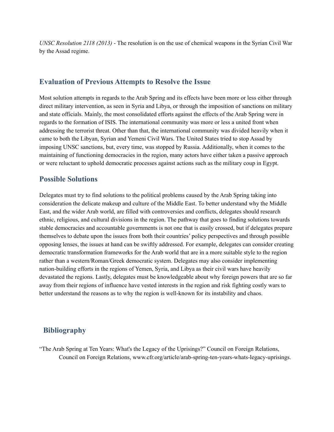*UNSC Resolution 2118 (2013)* - The resolution is on the use of chemical weapons in the Syrian Civil War by the Assad regime.

#### **Evaluation of Previous Attempts to Resolve the Issue**

Most solution attempts in regards to the Arab Spring and its effects have been more or less either through direct military intervention, as seen in Syria and Libya, or through the imposition of sanctions on military and state officials. Mainly, the most consolidated efforts against the effects of the Arab Spring were in regards to the formation of ISIS. The international community was more or less a united front when addressing the terrorist threat. Other than that, the international community was divided heavily when it came to both the Libyan, Syrian and Yemeni Civil Wars. The United States tried to stop Assad by imposing UNSC sanctions, but, every time, was stopped by Russia. Additionally, when it comes to the maintaining of functioning democracies in the region, many actors have either taken a passive approach or were reluctant to uphold democratic processes against actions such as the military coup in Egypt.

#### **Possible Solutions**

Delegates must try to find solutions to the political problems caused by the Arab Spring taking into consideration the delicate makeup and culture of the Middle East. To better understand why the Middle East, and the wider Arab world, are filled with controversies and conflicts, delegates should research ethnic, religious, and cultural divisions in the region. The pathway that goes to finding solutions towards stable democracies and accountable governments is not one that is easily crossed, but if delegates prepare themselves to debate upon the issues from both their countries' policy perspectives and through possible opposing lenses, the issues at hand can be swiftly addressed. For example, delegates can consider creating democratic transformation frameworks for the Arab world that are in a more suitable style to the region rather than a western/Roman/Greek democratic system. Delegates may also consider implementing nation-building efforts in the regions of Yemen, Syria, and Libya as their civil wars have heavily devastated the regions. Lastly, delegates must be knowledgeable about why foreign powers that are so far away from their regions of influence have vested interests in the region and risk fighting costly wars to better understand the reasons as to why the region is well-known for its instability and chaos.

#### **Bibliography**

"The Arab Spring at Ten Years: What's the Legacy of the Uprisings?" Council on Foreign Relations, Council on Foreign Relations, www.cfr.org/article/arab-spring-ten-years-whats-legacy-uprisings.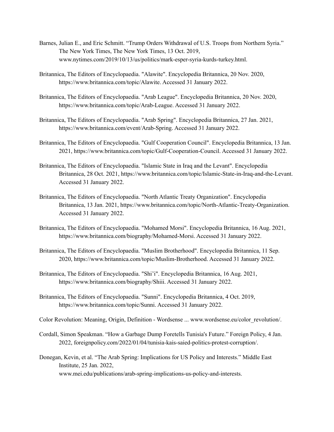- Barnes, Julian E., and Eric Schmitt. "Trump Orders Withdrawal of U.S. Troops from Northern Syria." The New York Times, The New York Times, 13 Oct. 2019, www.nytimes.com/2019/10/13/us/politics/mark-esper-syria-kurds-turkey.html.
- Britannica, The Editors of Encyclopaedia. "Alawite". Encyclopedia Britannica, 20 Nov. 2020, https://www.britannica.com/topic/Alawite. Accessed 31 January 2022.
- Britannica, The Editors of Encyclopaedia. "Arab League". Encyclopedia Britannica, 20 Nov. 2020, https://www.britannica.com/topic/Arab-League. Accessed 31 January 2022.
- Britannica, The Editors of Encyclopaedia. "Arab Spring". Encyclopedia Britannica, 27 Jan. 2021, https://www.britannica.com/event/Arab-Spring. Accessed 31 January 2022.
- Britannica, The Editors of Encyclopaedia. "Gulf Cooperation Council". Encyclopedia Britannica, 13 Jan. 2021, https://www.britannica.com/topic/Gulf-Cooperation-Council. Accessed 31 January 2022.
- Britannica, The Editors of Encyclopaedia. "Islamic State in Iraq and the Levant". Encyclopedia Britannica, 28 Oct. 2021, https://www.britannica.com/topic/Islamic-State-in-Iraq-and-the-Levant. Accessed 31 January 2022.
- Britannica, The Editors of Encyclopaedia. "North Atlantic Treaty Organization". Encyclopedia Britannica, 13 Jan. 2021, https://www.britannica.com/topic/North-Atlantic-Treaty-Organization. Accessed 31 January 2022.
- Britannica, The Editors of Encyclopaedia. "Mohamed Morsi". Encyclopedia Britannica, 16 Aug. 2021, https://www.britannica.com/biography/Mohamed-Morsi. Accessed 31 January 2022.
- Britannica, The Editors of Encyclopaedia. "Muslim Brotherhood". Encyclopedia Britannica, 11 Sep. 2020, https://www.britannica.com/topic/Muslim-Brotherhood. Accessed 31 January 2022.
- Britannica, The Editors of Encyclopaedia. "Shi'i". Encyclopedia Britannica, 16 Aug. 2021, https://www.britannica.com/biography/Shiii. Accessed 31 January 2022.
- Britannica, The Editors of Encyclopaedia. "Sunni". Encyclopedia Britannica, 4 Oct. 2019, https://www.britannica.com/topic/Sunni. Accessed 31 January 2022.
- Color Revolution: Meaning, Origin, Definition Wordsense ... www.wordsense.eu/color\_revolution/.
- Cordall, Simon Speakman. "How a Garbage Dump Foretells Tunisia's Future." Foreign Policy, 4 Jan. 2022, foreignpolicy.com/2022/01/04/tunisia-kais-saied-politics-protest-corruption/.
- Donegan, Kevin, et al. "The Arab Spring: Implications for US Policy and Interests." Middle East Institute, 25 Jan. 2022, www.mei.edu/publications/arab-spring-implications-us-policy-and-interests.